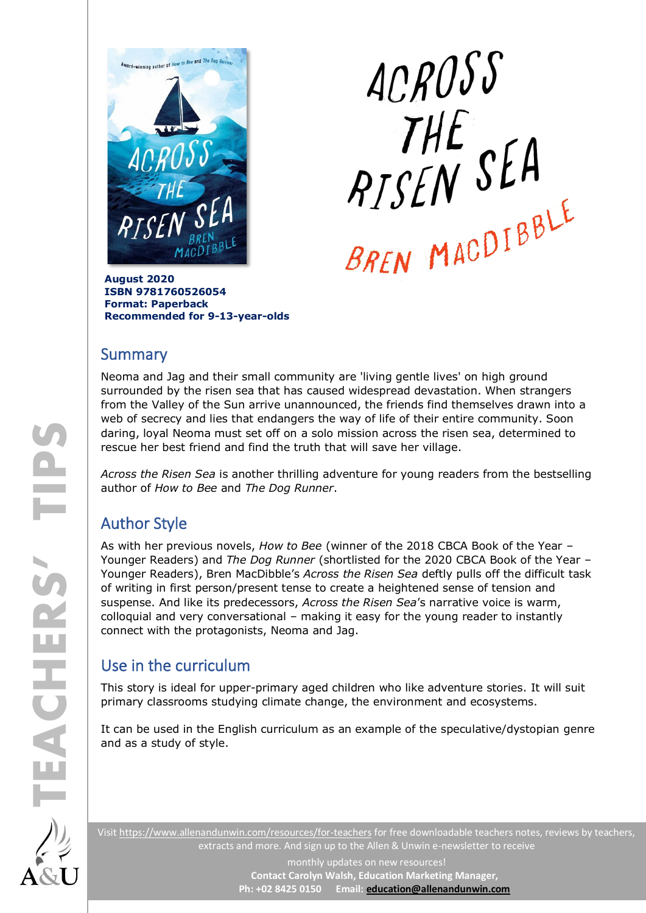

ACROSS ACRUJU<br>THE<br>PISEN SEA

**August 2020 ISBN 9781760526054 Format: Paperback Recommended for 9-13-year-olds**

### **Summary**

Neoma and Jag and their small community are 'living gentle lives' on high ground surrounded by the risen sea that has caused widespread devastation. When strangers from the Valley of the Sun arrive unannounced, the friends find themselves drawn into a web of secrecy and lies that endangers the way of life of their entire community. Soon daring, loyal Neoma must set off on a solo mission across the risen sea, determined to rescue her best friend and find the truth that will save her village.

*Across the Risen Sea* is another thrilling adventure for young readers from the bestselling author of *How to Bee* and *The Dog Runner*.

# Author Style

As with her previous novels, *How to Bee* (winner of the 2018 CBCA Book of the Year – Younger Readers) and *The Dog Runner* (shortlisted for the 2020 CBCA Book of the Year – Younger Readers), Bren MacDibble's *Across the Risen Sea* deftly pulls off the difficult task of writing in first person/present tense to create a heightened sense of tension and suspense. And like its predecessors, *Across the Risen Sea*'s narrative voice is warm, colloquial and very conversational – making it easy for the young reader to instantly connect with the protagonists, Neoma and Jag.

# Use in the curriculum

This story is ideal for upper-primary aged children who like adventure stories. It will suit primary classrooms studying climate change, the environment and ecosystems.

It can be used in the English curriculum as an example of the speculative/dystopian genre and as a study of style.

Visit<https://www.allenandunwin.com/resources/for-teachers> for free downloadable teachers notes, reviews by teachers, extracts and more. And sign up to the Allen & Unwin e-newsletter to receive

> monthly updates on new resources! **Contact Carolyn Walsh, Education Marketing Manager, Ph: +02 8425 0150 Email[: education@allenandunwin.com](mailto:education@allenandunwin.com)**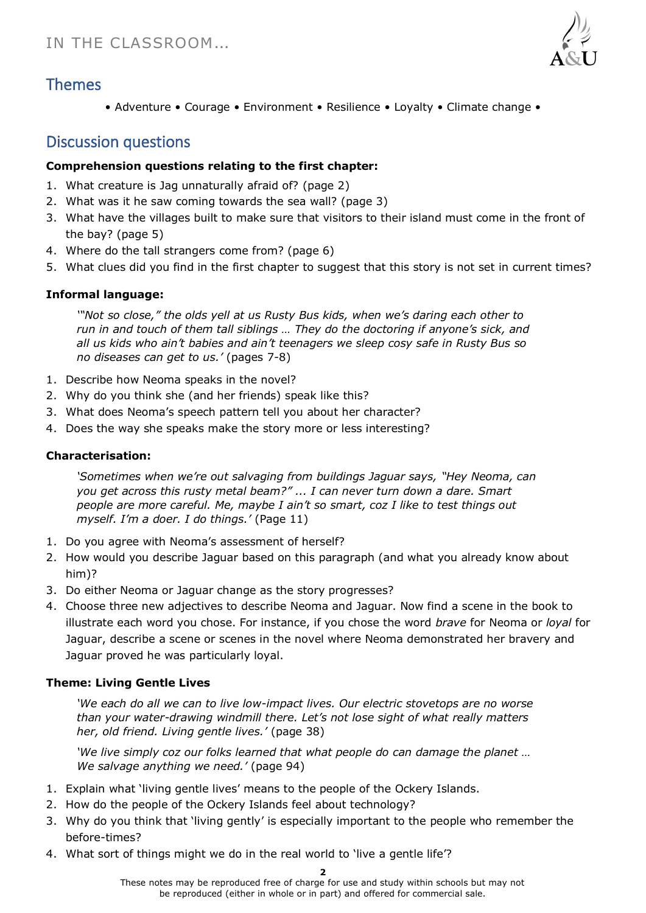

## Themes

• Adventure • Courage • Environment • Resilience • Loyalty • Climate change •

## Discussion questions

#### **Comprehension questions relating to the first chapter:**

- 1. What creature is Jag unnaturally afraid of? (page 2)
- 2. What was it he saw coming towards the sea wall? (page 3)
- 3. What have the villages built to make sure that visitors to their island must come in the front of the bay? (page 5)
- 4. Where do the tall strangers come from? (page 6)
- 5. What clues did you find in the first chapter to suggest that this story is not set in current times?

#### **Informal language:**

*'"Not so close," the olds yell at us Rusty Bus kids, when we's daring each other to run in and touch of them tall siblings … They do the doctoring if anyone's sick, and all us kids who ain't babies and ain't teenagers we sleep cosy safe in Rusty Bus so no diseases can get to us.'* (pages 7-8)

- 1. Describe how Neoma speaks in the novel?
- 2. Why do you think she (and her friends) speak like this?
- 3. What does Neoma's speech pattern tell you about her character?
- 4. Does the way she speaks make the story more or less interesting?

#### **Characterisation:**

*'Sometimes when we're out salvaging from buildings Jaguar says, "Hey Neoma, can you get across this rusty metal beam?" ... I can never turn down a dare. Smart people are more careful. Me, maybe I ain't so smart, coz I like to test things out myself. I'm a doer. I do things.'* (Page 11)

- 1. Do you agree with Neoma's assessment of herself?
- 2. How would you describe Jaguar based on this paragraph (and what you already know about him)?
- 3. Do either Neoma or Jaguar change as the story progresses?
- 4. Choose three new adjectives to describe Neoma and Jaguar. Now find a scene in the book to illustrate each word you chose. For instance, if you chose the word *brave* for Neoma or *loyal* for Jaguar, describe a scene or scenes in the novel where Neoma demonstrated her bravery and Jaguar proved he was particularly loyal.

#### **Theme: Living Gentle Lives**

*'We each do all we can to live low-impact lives. Our electric stovetops are no worse than your water-drawing windmill there. Let's not lose sight of what really matters her, old friend. Living gentle lives.'* (page 38)

*'We live simply coz our folks learned that what people do can damage the planet … We salvage anything we need.'* (page 94)

- 1. Explain what 'living gentle lives' means to the people of the Ockery Islands.
- 2. How do the people of the Ockery Islands feel about technology?
- 3. Why do you think that 'living gently' is especially important to the people who remember the before-times?
- 4. What sort of things might we do in the real world to 'live a gentle life'?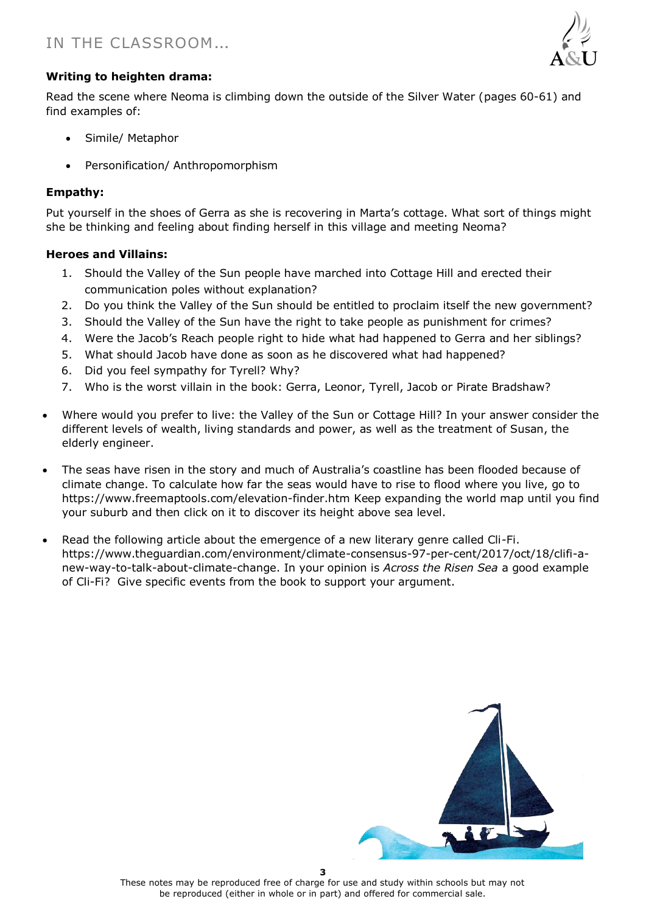

#### **Writing to heighten drama:**

Read the scene where Neoma is climbing down the outside of the Silver Water (pages 60-61) and find examples of:

- Simile/ Metaphor
- Personification/ Anthropomorphism

#### **Empathy:**

Put yourself in the shoes of Gerra as she is recovering in Marta's cottage. What sort of things might she be thinking and feeling about finding herself in this village and meeting Neoma?

#### **Heroes and Villains:**

- 1. Should the Valley of the Sun people have marched into Cottage Hill and erected their communication poles without explanation?
- 2. Do you think the Valley of the Sun should be entitled to proclaim itself the new government?
- 3. Should the Valley of the Sun have the right to take people as punishment for crimes?
- 4. Were the Jacob's Reach people right to hide what had happened to Gerra and her siblings?
- 5. What should Jacob have done as soon as he discovered what had happened?
- 6. Did you feel sympathy for Tyrell? Why?
- 7. Who is the worst villain in the book: Gerra, Leonor, Tyrell, Jacob or Pirate Bradshaw?
- Where would you prefer to live: the Valley of the Sun or Cottage Hill? In your answer consider the different levels of wealth, living standards and power, as well as the treatment of Susan, the elderly engineer.
- The seas have risen in the story and much of Australia's coastline has been flooded because of climate change. To calculate how far the seas would have to rise to flood where you live, go to <https://www.freemaptools.com/elevation-finder.htm> Keep expanding the world map until you find your suburb and then click on it to discover its height above sea level.
- Read the following article about the emergence of a new literary genre called Cli-Fi. [https://www.theguardian.com/environment/climate-consensus-97-per-cent/2017/oct/18/clifi-a](https://www.theguardian.com/environment/climate-consensus-97-per-cent/2017/oct/18/clifi-a-new-way-to-talk-about-climate-change)[new-way-to-talk-about-climate-change.](https://www.theguardian.com/environment/climate-consensus-97-per-cent/2017/oct/18/clifi-a-new-way-to-talk-about-climate-change) In your opinion is *Across the Risen Sea* a good example of Cli-Fi? Give specific events from the book to support your argument.